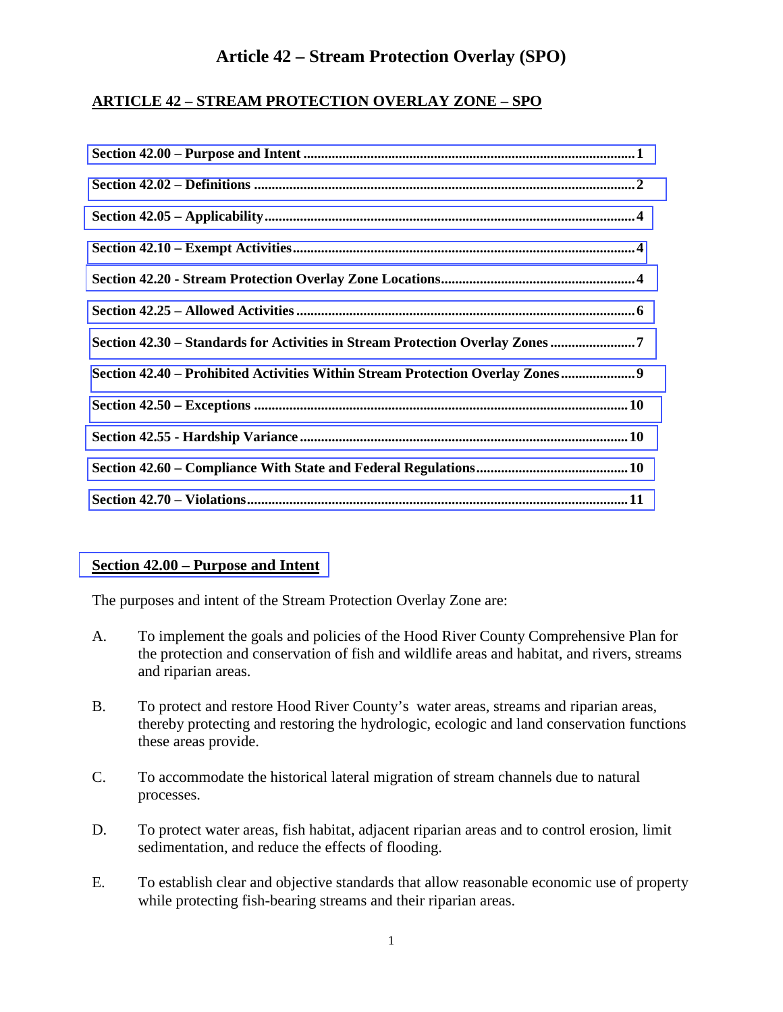# **Article 42 – Stream Protection Overlay (SPO)**

### **ARTICLE 42 – STREAM PROTECTION OVERLAY ZONE – SPO**

| Section 42.30 - Standards for Activities in Stream Protection Overlay Zones 7  |
|--------------------------------------------------------------------------------|
| Section 42.40 - Prohibited Activities Within Stream Protection Overlay Zones 9 |
|                                                                                |
|                                                                                |
|                                                                                |
|                                                                                |

### **Section 42.00 – Purpose and Intent**

The purposes and intent of the Stream Protection Overlay Zone are:

- A. To implement the goals and policies of the Hood River County Comprehensive Plan for the protection and conservation of fish and wildlife areas and habitat, and rivers, streams and riparian areas.
- B. To protect and restore Hood River County's water areas, streams and riparian areas, thereby protecting and restoring the hydrologic, ecologic and land conservation functions these areas provide.
- C. To accommodate the historical lateral migration of stream channels due to natural processes.
- D. To protect water areas, fish habitat, adjacent riparian areas and to control erosion, limit sedimentation, and reduce the effects of flooding.
- E. To establish clear and objective standards that allow reasonable economic use of property while protecting fish-bearing streams and their riparian areas.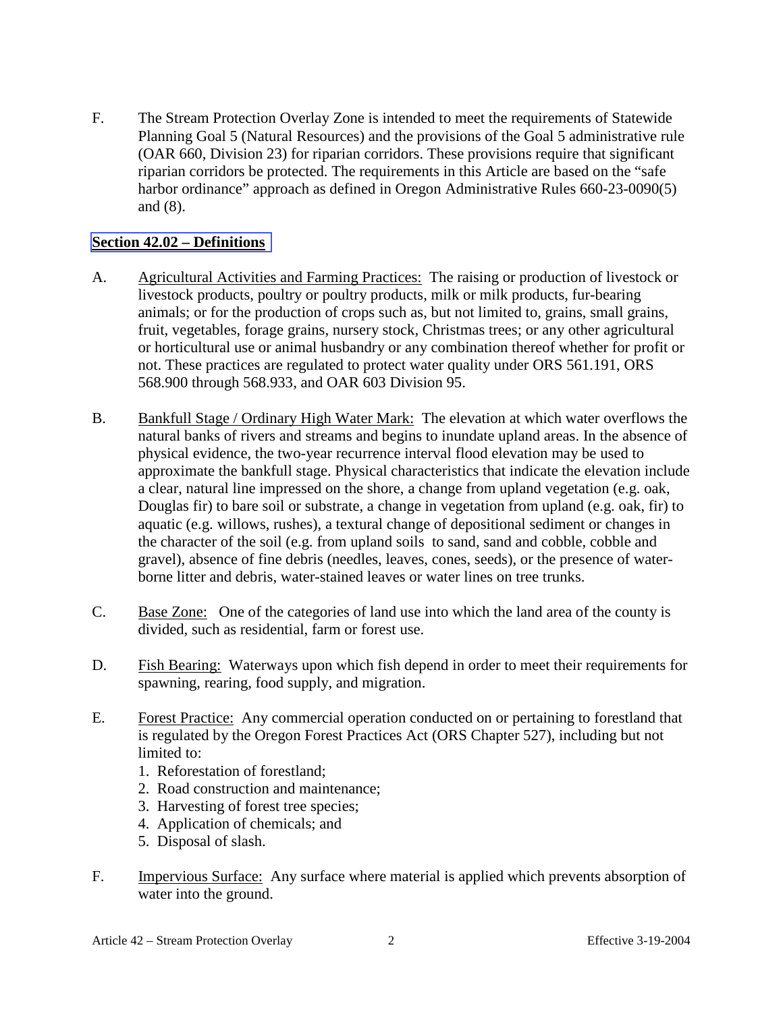<span id="page-1-0"></span>F. The Stream Protection Overlay Zone is intended to meet the requirements of Statewide Planning Goal 5 (Natural Resources) and the provisions of the Goal 5 administrative rule (OAR 660, Division 23) for riparian corridors. These provisions require that significant riparian corridors be protected. The requirements in this Article are based on the "safe harbor ordinance" approach as defined in Oregon Administrative Rules 660-23-0090(5) and (8).

## **Section 42.02 – Definitions**

- A. Agricultural Activities and Farming Practices: The raising or production of livestock or livestock products, poultry or poultry products, milk or milk products, fur-bearing animals; or for the production of crops such as, but not limited to, grains, small grains, fruit, vegetables, forage grains, nursery stock, Christmas trees; or any other agricultural or horticultural use or animal husbandry or any combination thereof whether for profit or not. These practices are regulated to protect water quality under ORS 561.191, ORS 568.900 through 568.933, and OAR 603 Division 95.
- B. Bankfull Stage / Ordinary High Water Mark: The elevation at which water overflows the natural banks of rivers and streams and begins to inundate upland areas. In the absence of physical evidence, the two-year recurrence interval flood elevation may be used to approximate the bankfull stage. Physical characteristics that indicate the elevation include a clear, natural line impressed on the shore, a change from upland vegetation (e.g. oak, Douglas fir) to bare soil or substrate, a change in vegetation from upland (e.g. oak, fir) to aquatic (e.g. willows, rushes), a textural change of depositional sediment or changes in the character of the soil (e.g. from upland soils to sand, sand and cobble, cobble and gravel), absence of fine debris (needles, leaves, cones, seeds), or the presence of waterborne litter and debris, water-stained leaves or water lines on tree trunks.
- C. Base Zone: One of the categories of land use into which the land area of the county is divided, such as residential, farm or forest use.
- D. Fish Bearing: Waterways upon which fish depend in order to meet their requirements for spawning, rearing, food supply, and migration.
- E. Forest Practice: Any commercial operation conducted on or pertaining to forestland that is regulated by the Oregon Forest Practices Act (ORS Chapter 527), including but not limited to:
	- 1. Reforestation of forestland;
	- 2. Road construction and maintenance;
	- 3. Harvesting of forest tree species;
	- 4. Application of chemicals; and
	- 5. Disposal of slash.
- F. Impervious Surface: Any surface where material is applied which prevents absorption of water into the ground.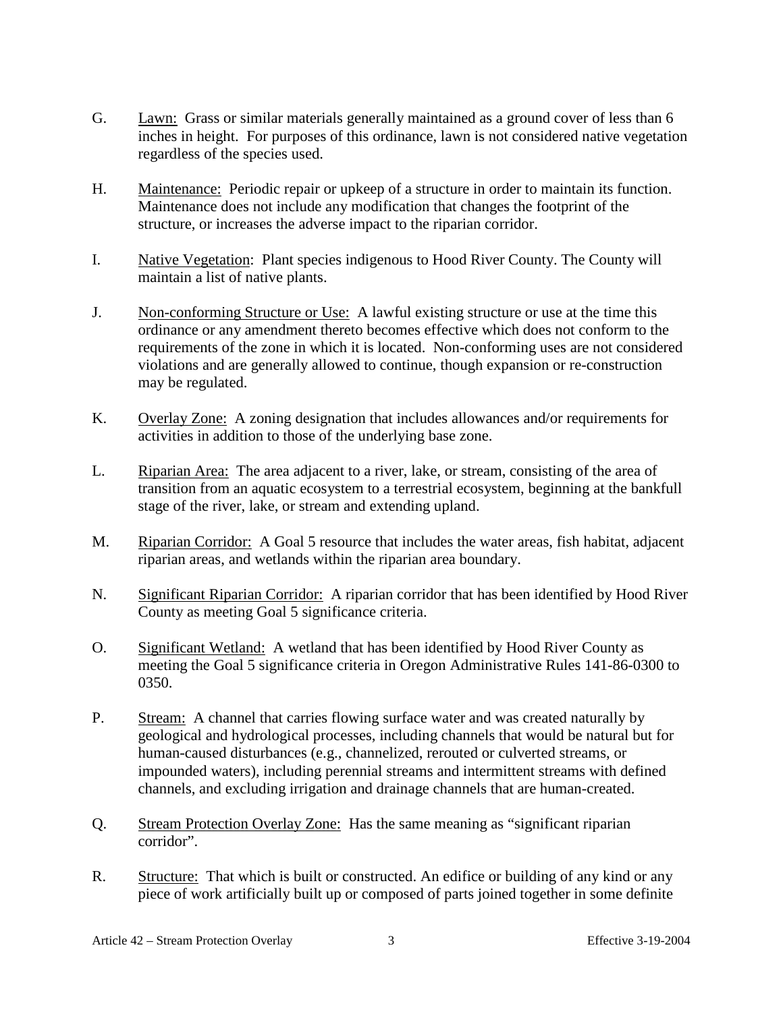- G. Lawn: Grass or similar materials generally maintained as a ground cover of less than 6 inches in height. For purposes of this ordinance, lawn is not considered native vegetation regardless of the species used.
- H. Maintenance: Periodic repair or upkeep of a structure in order to maintain its function. Maintenance does not include any modification that changes the footprint of the structure, or increases the adverse impact to the riparian corridor.
- I. Native Vegetation: Plant species indigenous to Hood River County. The County will maintain a list of native plants.
- J. Non-conforming Structure or Use: A lawful existing structure or use at the time this ordinance or any amendment thereto becomes effective which does not conform to the requirements of the zone in which it is located. Non-conforming uses are not considered violations and are generally allowed to continue, though expansion or re-construction may be regulated.
- K. Overlay Zone: A zoning designation that includes allowances and/or requirements for activities in addition to those of the underlying base zone.
- L. Riparian Area: The area adjacent to a river, lake, or stream, consisting of the area of transition from an aquatic ecosystem to a terrestrial ecosystem, beginning at the bankfull stage of the river, lake, or stream and extending upland.
- M. Riparian Corridor: A Goal 5 resource that includes the water areas, fish habitat, adjacent riparian areas, and wetlands within the riparian area boundary.
- N. Significant Riparian Corridor: A riparian corridor that has been identified by Hood River County as meeting Goal 5 significance criteria.
- O. Significant Wetland: A wetland that has been identified by Hood River County as meeting the Goal 5 significance criteria in Oregon Administrative Rules 141-86-0300 to 0350.
- P. Stream: A channel that carries flowing surface water and was created naturally by geological and hydrological processes, including channels that would be natural but for human-caused disturbances (e.g., channelized, rerouted or culverted streams, or impounded waters), including perennial streams and intermittent streams with defined channels, and excluding irrigation and drainage channels that are human-created.
- Q. Stream Protection Overlay Zone: Has the same meaning as "significant riparian corridor".
- R. Structure: That which is built or constructed. An edifice or building of any kind or any piece of work artificially built up or composed of parts joined together in some definite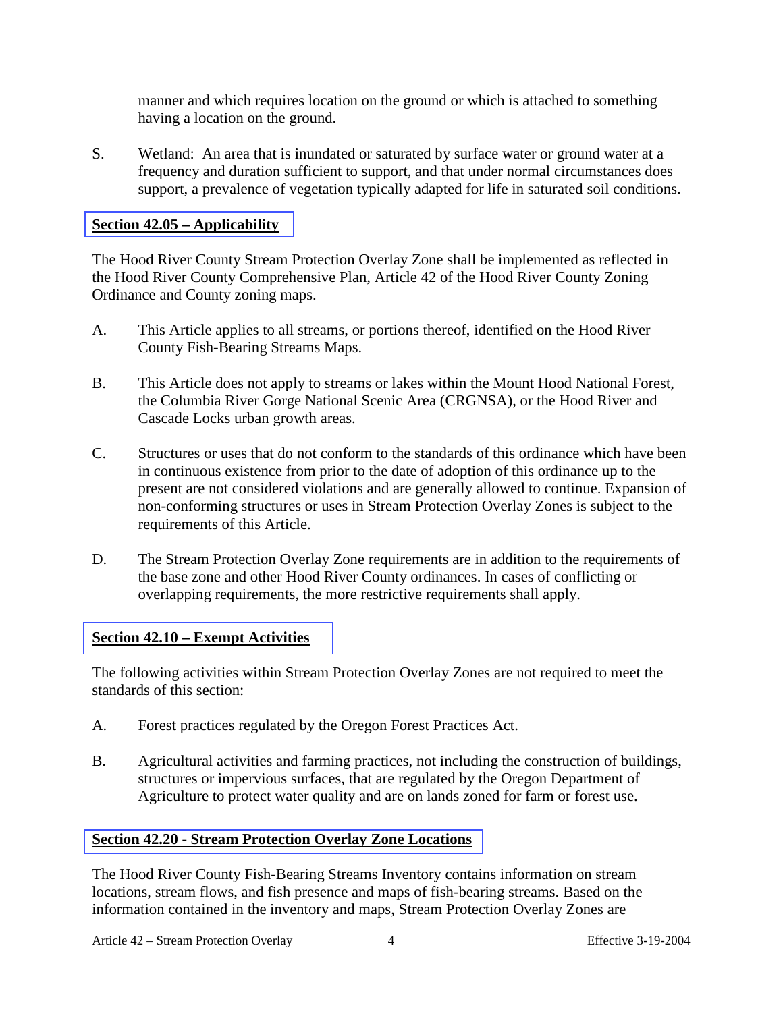<span id="page-3-0"></span>manner and which requires location on the ground or which is attached to something having a location on the ground.

S. Wetland: An area that is inundated or saturated by surface water or ground water at a frequency and duration sufficient to support, and that under normal circumstances does support, a prevalence of vegetation typically adapted for life in saturated soil conditions.

## **Section 42.05 – Applicability**

The Hood River County Stream Protection Overlay Zone shall be implemented as reflected in the Hood River County Comprehensive Plan, Article 42 of the Hood River County Zoning Ordinance and County zoning maps.

- A. This Article applies to all streams, or portions thereof, identified on the Hood River County Fish-Bearing Streams Maps.
- B. This Article does not apply to streams or lakes within the Mount Hood National Forest, the Columbia River Gorge National Scenic Area (CRGNSA), or the Hood River and Cascade Locks urban growth areas.
- C. Structures or uses that do not conform to the standards of this ordinance which have been in continuous existence from prior to the date of adoption of this ordinance up to the present are not considered violations and are generally allowed to continue. Expansion of non-conforming structures or uses in Stream Protection Overlay Zones is subject to the requirements of this Article.
- D. The Stream Protection Overlay Zone requirements are in addition to the requirements of the base zone and other Hood River County ordinances. In cases of conflicting or overlapping requirements, the more restrictive requirements shall apply.

### **Section 42.10 – Exempt Activities**

The following activities within Stream Protection Overlay Zones are not required to meet the standards of this section:

- A. Forest practices regulated by the Oregon Forest Practices Act.
- B. Agricultural activities and farming practices, not including the construction of buildings, structures or impervious surfaces, that are regulated by the Oregon Department of Agriculture to protect water quality and are on lands zoned for farm or forest use.

# **Section 42.20 - Stream Protection Overlay Zone Locations**

The Hood River County Fish-Bearing Streams Inventory contains information on stream locations, stream flows, and fish presence and maps of fish-bearing streams. Based on the information contained in the inventory and maps, Stream Protection Overlay Zones are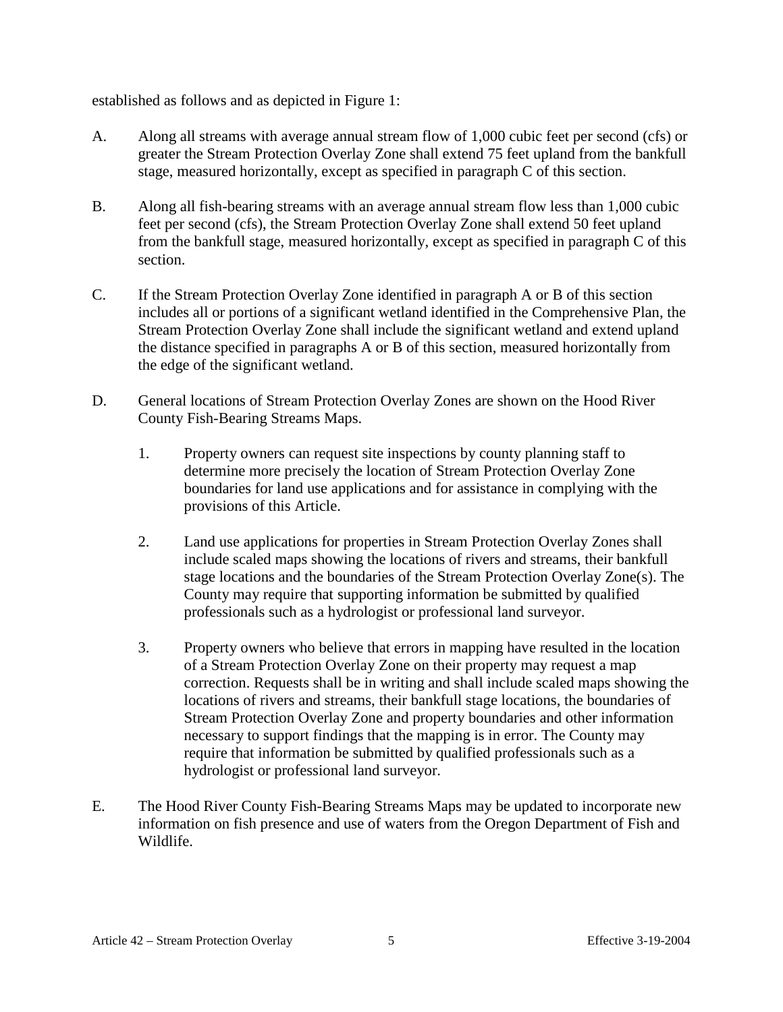established as follows and as depicted in Figure 1:

- A. Along all streams with average annual stream flow of 1,000 cubic feet per second (cfs) or greater the Stream Protection Overlay Zone shall extend 75 feet upland from the bankfull stage, measured horizontally, except as specified in paragraph C of this section.
- B. Along all fish-bearing streams with an average annual stream flow less than 1,000 cubic feet per second (cfs), the Stream Protection Overlay Zone shall extend 50 feet upland from the bankfull stage, measured horizontally, except as specified in paragraph C of this section.
- C. If the Stream Protection Overlay Zone identified in paragraph A or B of this section includes all or portions of a significant wetland identified in the Comprehensive Plan, the Stream Protection Overlay Zone shall include the significant wetland and extend upland the distance specified in paragraphs A or B of this section, measured horizontally from the edge of the significant wetland.
- D. General locations of Stream Protection Overlay Zones are shown on the Hood River County Fish-Bearing Streams Maps.
	- 1. Property owners can request site inspections by county planning staff to determine more precisely the location of Stream Protection Overlay Zone boundaries for land use applications and for assistance in complying with the provisions of this Article.
	- 2. Land use applications for properties in Stream Protection Overlay Zones shall include scaled maps showing the locations of rivers and streams, their bankfull stage locations and the boundaries of the Stream Protection Overlay Zone(s). The County may require that supporting information be submitted by qualified professionals such as a hydrologist or professional land surveyor.
	- 3. Property owners who believe that errors in mapping have resulted in the location of a Stream Protection Overlay Zone on their property may request a map correction. Requests shall be in writing and shall include scaled maps showing the locations of rivers and streams, their bankfull stage locations, the boundaries of Stream Protection Overlay Zone and property boundaries and other information necessary to support findings that the mapping is in error. The County may require that information be submitted by qualified professionals such as a hydrologist or professional land surveyor.
- E. The Hood River County Fish-Bearing Streams Maps may be updated to incorporate new information on fish presence and use of waters from the Oregon Department of Fish and Wildlife.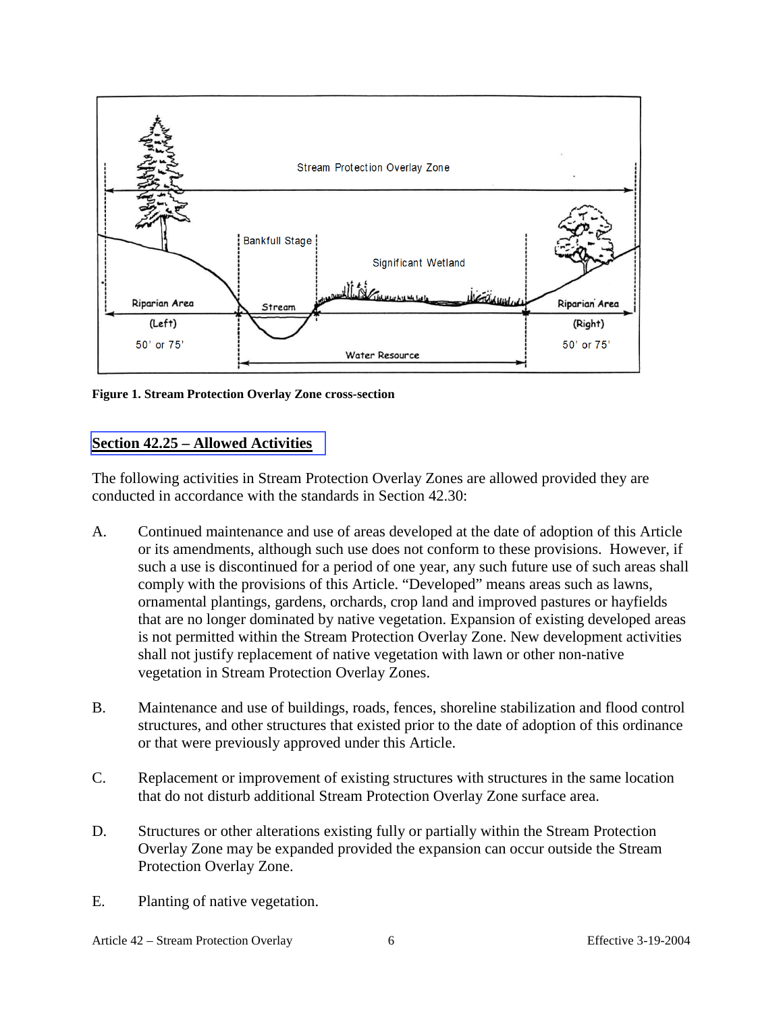<span id="page-5-0"></span>

**Figure 1. Stream Protection Overlay Zone cross-section**

## **Section 42.25 – Allowed Activities**

The following activities in Stream Protection Overlay Zones are allowed provided they are conducted in accordance with the standards in Section 42.30:

- A. Continued maintenance and use of areas developed at the date of adoption of this Article or its amendments, although such use does not conform to these provisions. However, if such a use is discontinued for a period of one year, any such future use of such areas shall comply with the provisions of this Article. "Developed" means areas such as lawns, ornamental plantings, gardens, orchards, crop land and improved pastures or hayfields that are no longer dominated by native vegetation. Expansion of existing developed areas is not permitted within the Stream Protection Overlay Zone. New development activities shall not justify replacement of native vegetation with lawn or other non-native vegetation in Stream Protection Overlay Zones.
- B. Maintenance and use of buildings, roads, fences, shoreline stabilization and flood control structures, and other structures that existed prior to the date of adoption of this ordinance or that were previously approved under this Article.
- C. Replacement or improvement of existing structures with structures in the same location that do not disturb additional Stream Protection Overlay Zone surface area.
- D. Structures or other alterations existing fully or partially within the Stream Protection Overlay Zone may be expanded provided the expansion can occur outside the Stream Protection Overlay Zone.
- E. Planting of native vegetation.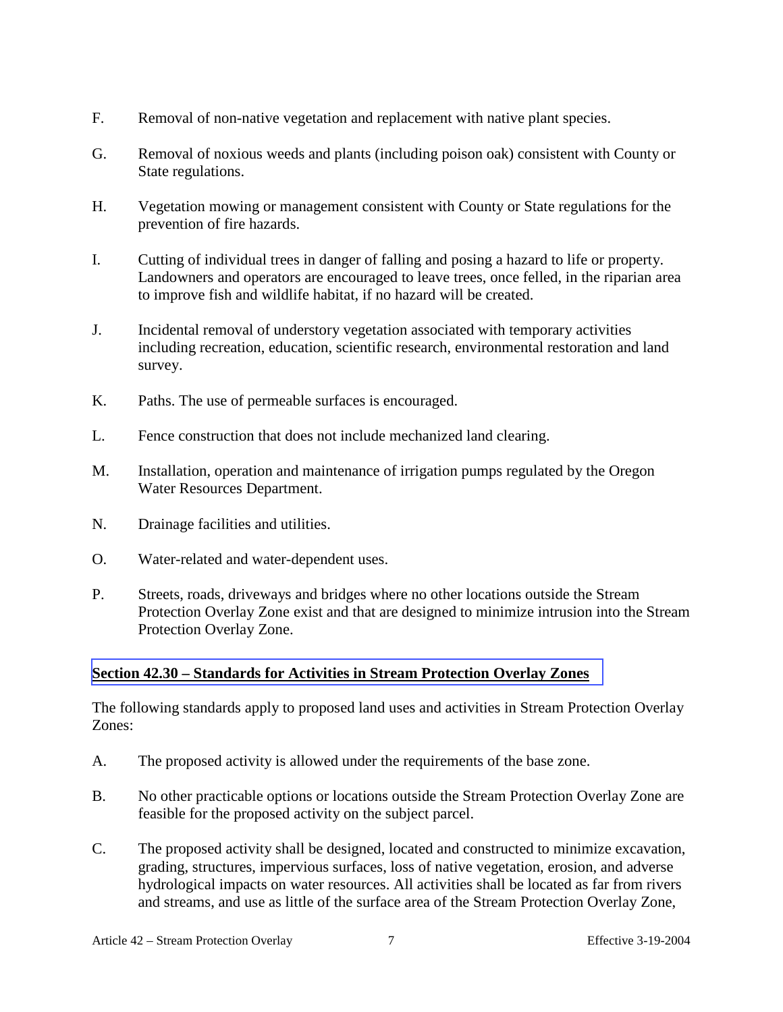- <span id="page-6-0"></span>F. Removal of non-native vegetation and replacement with native plant species.
- G. Removal of noxious weeds and plants (including poison oak) consistent with County or State regulations.
- H. Vegetation mowing or management consistent with County or State regulations for the prevention of fire hazards.
- I. Cutting of individual trees in danger of falling and posing a hazard to life or property. Landowners and operators are encouraged to leave trees, once felled, in the riparian area to improve fish and wildlife habitat, if no hazard will be created.
- J. Incidental removal of understory vegetation associated with temporary activities including recreation, education, scientific research, environmental restoration and land survey.
- K. Paths. The use of permeable surfaces is encouraged.
- L. Fence construction that does not include mechanized land clearing.
- M. Installation, operation and maintenance of irrigation pumps regulated by the Oregon Water Resources Department.
- N. Drainage facilities and utilities.
- O. Water-related and water-dependent uses.
- P. Streets, roads, driveways and bridges where no other locations outside the Stream Protection Overlay Zone exist and that are designed to minimize intrusion into the Stream Protection Overlay Zone.

# **Section 42.30 – Standards for Activities in Stream Protection Overlay Zones**

The following standards apply to proposed land uses and activities in Stream Protection Overlay Zones:

- A. The proposed activity is allowed under the requirements of the base zone.
- B. No other practicable options or locations outside the Stream Protection Overlay Zone are feasible for the proposed activity on the subject parcel.
- C. The proposed activity shall be designed, located and constructed to minimize excavation, grading, structures, impervious surfaces, loss of native vegetation, erosion, and adverse hydrological impacts on water resources. All activities shall be located as far from rivers and streams, and use as little of the surface area of the Stream Protection Overlay Zone,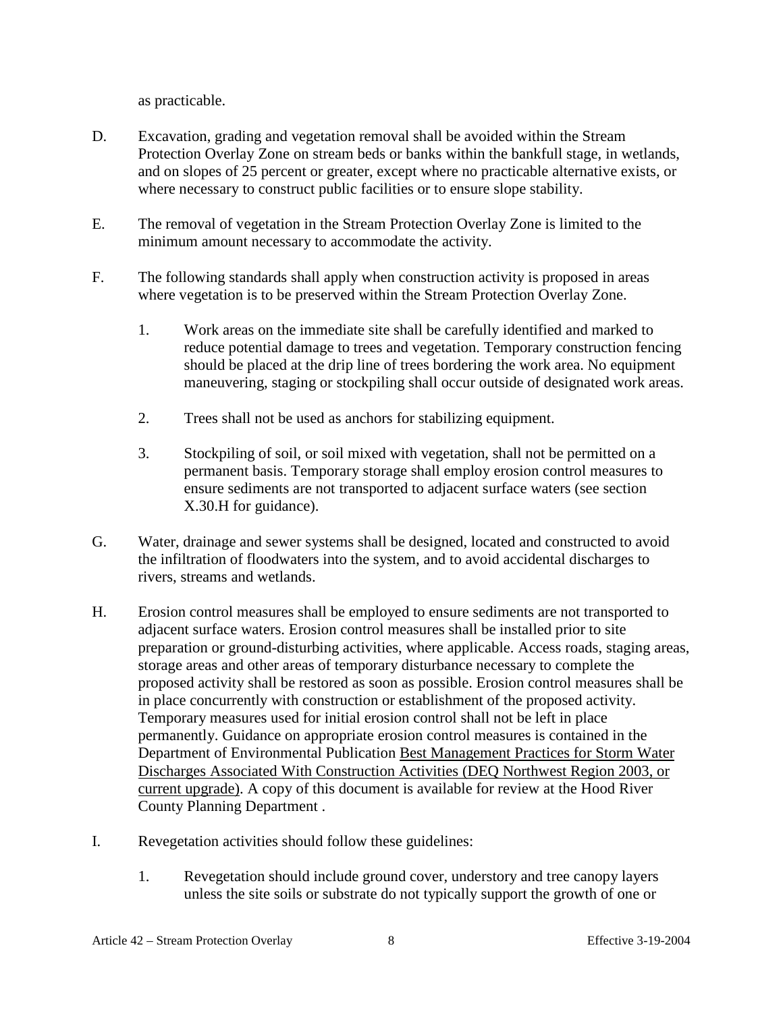as practicable.

- D. Excavation, grading and vegetation removal shall be avoided within the Stream Protection Overlay Zone on stream beds or banks within the bankfull stage, in wetlands, and on slopes of 25 percent or greater, except where no practicable alternative exists, or where necessary to construct public facilities or to ensure slope stability.
- E. The removal of vegetation in the Stream Protection Overlay Zone is limited to the minimum amount necessary to accommodate the activity.
- F. The following standards shall apply when construction activity is proposed in areas where vegetation is to be preserved within the Stream Protection Overlay Zone.
	- 1. Work areas on the immediate site shall be carefully identified and marked to reduce potential damage to trees and vegetation. Temporary construction fencing should be placed at the drip line of trees bordering the work area. No equipment maneuvering, staging or stockpiling shall occur outside of designated work areas.
	- 2. Trees shall not be used as anchors for stabilizing equipment.
	- 3. Stockpiling of soil, or soil mixed with vegetation, shall not be permitted on a permanent basis. Temporary storage shall employ erosion control measures to ensure sediments are not transported to adjacent surface waters (see section X.30.H for guidance).
- G. Water, drainage and sewer systems shall be designed, located and constructed to avoid the infiltration of floodwaters into the system, and to avoid accidental discharges to rivers, streams and wetlands.
- H. Erosion control measures shall be employed to ensure sediments are not transported to adjacent surface waters. Erosion control measures shall be installed prior to site preparation or ground-disturbing activities, where applicable. Access roads, staging areas, storage areas and other areas of temporary disturbance necessary to complete the proposed activity shall be restored as soon as possible. Erosion control measures shall be in place concurrently with construction or establishment of the proposed activity. Temporary measures used for initial erosion control shall not be left in place permanently. Guidance on appropriate erosion control measures is contained in the Department of Environmental Publication Best Management Practices for Storm Water Discharges Associated With Construction Activities (DEQ Northwest Region 2003, or current upgrade). A copy of this document is available for review at the Hood River County Planning Department .
- I. Revegetation activities should follow these guidelines:
	- 1. Revegetation should include ground cover, understory and tree canopy layers unless the site soils or substrate do not typically support the growth of one or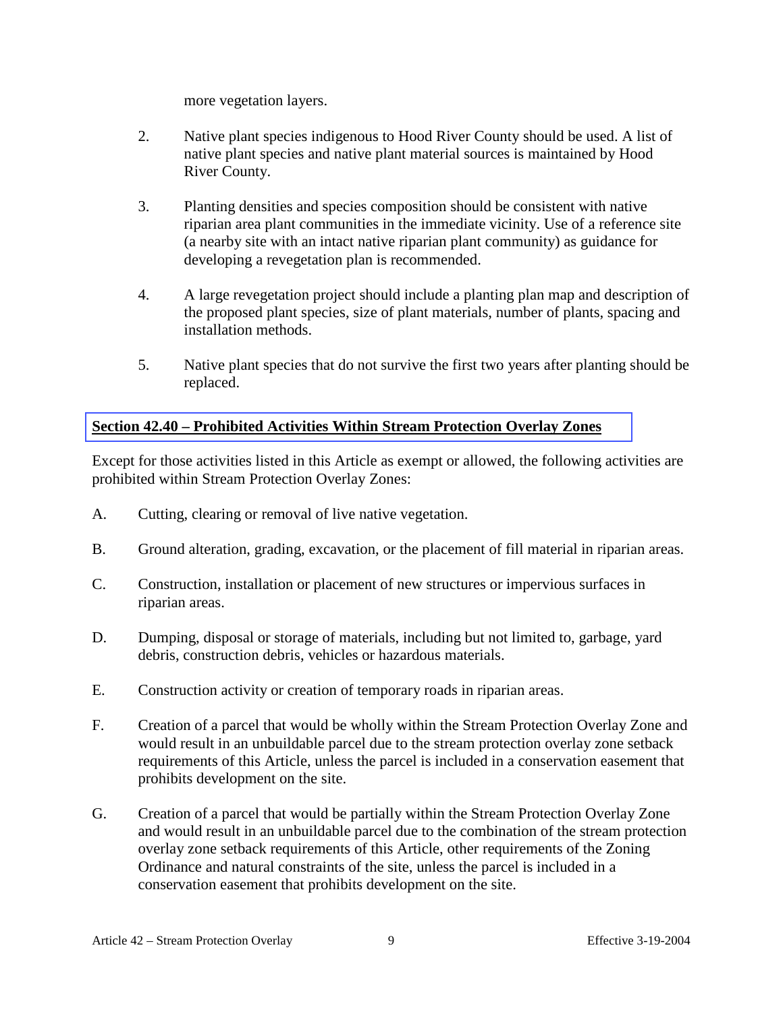more vegetation layers.

- <span id="page-8-0"></span>2. Native plant species indigenous to Hood River County should be used. A list of native plant species and native plant material sources is maintained by Hood River County.
- 3. Planting densities and species composition should be consistent with native riparian area plant communities in the immediate vicinity. Use of a reference site (a nearby site with an intact native riparian plant community) as guidance for developing a revegetation plan is recommended.
- 4. A large revegetation project should include a planting plan map and description of the proposed plant species, size of plant materials, number of plants, spacing and installation methods.
- 5. Native plant species that do not survive the first two years after planting should be replaced.

# **Section 42.40 – Prohibited Activities Within Stream Protection Overlay Zones**

Except for those activities listed in this Article as exempt or allowed, the following activities are prohibited within Stream Protection Overlay Zones:

- A. Cutting, clearing or removal of live native vegetation.
- B. Ground alteration, grading, excavation, or the placement of fill material in riparian areas.
- C. Construction, installation or placement of new structures or impervious surfaces in riparian areas.
- D. Dumping, disposal or storage of materials, including but not limited to, garbage, yard debris, construction debris, vehicles or hazardous materials.
- E. Construction activity or creation of temporary roads in riparian areas.
- F. Creation of a parcel that would be wholly within the Stream Protection Overlay Zone and would result in an unbuildable parcel due to the stream protection overlay zone setback requirements of this Article, unless the parcel is included in a conservation easement that prohibits development on the site.
- G. Creation of a parcel that would be partially within the Stream Protection Overlay Zone and would result in an unbuildable parcel due to the combination of the stream protection overlay zone setback requirements of this Article, other requirements of the Zoning Ordinance and natural constraints of the site, unless the parcel is included in a conservation easement that prohibits development on the site.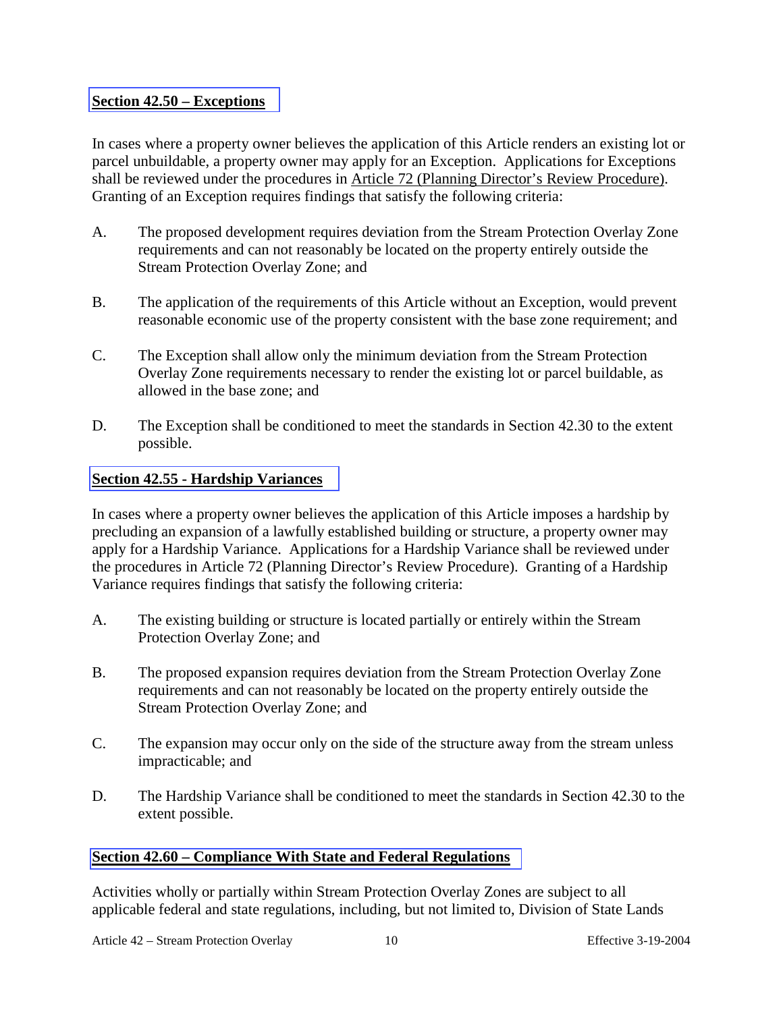# <span id="page-9-0"></span>**Section 42.50 – Exceptions**

In cases where a property owner believes the application of this Article renders an existing lot or parcel unbuildable, a property owner may apply for an Exception. Applications for Exceptions shall be reviewed under the procedures in Article 72 (Planning Director's Review Procedure). Granting of an Exception requires findings that satisfy the following criteria:

- A. The proposed development requires deviation from the Stream Protection Overlay Zone requirements and can not reasonably be located on the property entirely outside the Stream Protection Overlay Zone; and
- B. The application of the requirements of this Article without an Exception, would prevent reasonable economic use of the property consistent with the base zone requirement; and
- C. The Exception shall allow only the minimum deviation from the Stream Protection Overlay Zone requirements necessary to render the existing lot or parcel buildable, as allowed in the base zone; and
- D. The Exception shall be conditioned to meet the standards in Section 42.30 to the extent possible.

### **Section 42.55 - Hardship Variances**

In cases where a property owner believes the application of this Article imposes a hardship by precluding an expansion of a lawfully established building or structure, a property owner may apply for a Hardship Variance. Applications for a Hardship Variance shall be reviewed under the procedures in Article 72 (Planning Director's Review Procedure). Granting of a Hardship Variance requires findings that satisfy the following criteria:

- A. The existing building or structure is located partially or entirely within the Stream Protection Overlay Zone; and
- B. The proposed expansion requires deviation from the Stream Protection Overlay Zone requirements and can not reasonably be located on the property entirely outside the Stream Protection Overlay Zone; and
- C. The expansion may occur only on the side of the structure away from the stream unless impracticable; and
- D. The Hardship Variance shall be conditioned to meet the standards in Section 42.30 to the extent possible.

### **Section 42.60 – Compliance With State and Federal Regulations**

Activities wholly or partially within Stream Protection Overlay Zones are subject to all applicable federal and state regulations, including, but not limited to, Division of State Lands